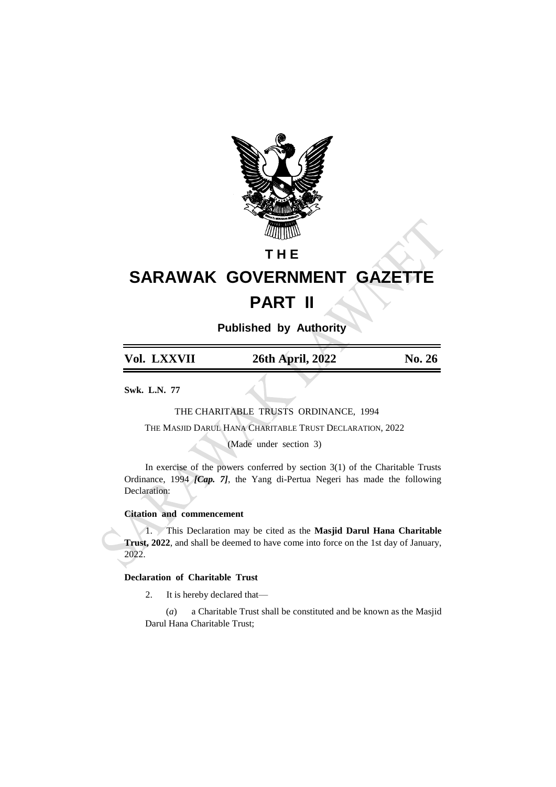

# **T H E**

# **SARAWAK GOVERNMENT GAZETTE PART II**

**Published by Authority**

| Vol. LXXVII | 26th April, 2022 | No. 26 |
|-------------|------------------|--------|
|             |                  |        |

**Swk. L.N. 77**

 THE CHARITABLE TRUSTS ORDINANCE, 1994 THE MASJID DARUL HANA CHARITABLE TRUST DECLARATION, 2022

(Made under section 3)

In exercise of the powers conferred by section  $3(1)$  of the Charitable Trusts Ordinance, 1994 *[Cap. 7]*, the Yang di-Pertua Negeri has made the following Declaration:

## **Citation and commencement**

1. This Declaration may be cited as the **Masjid Darul Hana Charitable Trust, 2022**, and shall be deemed to have come into force on the 1st day of January, 2022.

# **Declaration of Charitable Trust**

2. It is hereby declared that—

(*a*) a Charitable Trust shall be constituted and be known as the Masjid Darul Hana Charitable Trust;